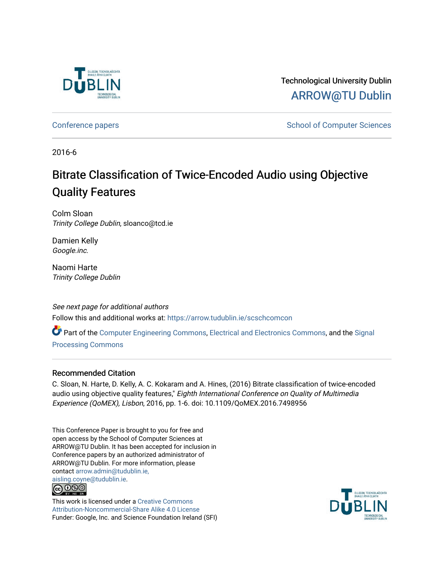

## Technological University Dublin [ARROW@TU Dublin](https://arrow.tudublin.ie/)

[Conference papers](https://arrow.tudublin.ie/scschcomcon) **School of Computer Sciences** School of Computer Sciences

2016-6

# Bitrate Classification of Twice-Encoded Audio using Objective Quality Features

Colm Sloan Trinity College Dublin, sloanco@tcd.ie

Damien Kelly Google.inc.

Naomi Harte Trinity College Dublin

See next page for additional authors Follow this and additional works at: [https://arrow.tudublin.ie/scschcomcon](https://arrow.tudublin.ie/scschcomcon?utm_source=arrow.tudublin.ie%2Fscschcomcon%2F205&utm_medium=PDF&utm_campaign=PDFCoverPages)

Part of the [Computer Engineering Commons,](http://network.bepress.com/hgg/discipline/258?utm_source=arrow.tudublin.ie%2Fscschcomcon%2F205&utm_medium=PDF&utm_campaign=PDFCoverPages) [Electrical and Electronics Commons](http://network.bepress.com/hgg/discipline/270?utm_source=arrow.tudublin.ie%2Fscschcomcon%2F205&utm_medium=PDF&utm_campaign=PDFCoverPages), and the [Signal](http://network.bepress.com/hgg/discipline/275?utm_source=arrow.tudublin.ie%2Fscschcomcon%2F205&utm_medium=PDF&utm_campaign=PDFCoverPages)  [Processing Commons](http://network.bepress.com/hgg/discipline/275?utm_source=arrow.tudublin.ie%2Fscschcomcon%2F205&utm_medium=PDF&utm_campaign=PDFCoverPages)

### Recommended Citation

C. Sloan, N. Harte, D. Kelly, A. C. Kokaram and A. Hines, (2016) Bitrate classification of twice-encoded audio using objective quality features," Eighth International Conference on Quality of Multimedia Experience (QoMEX), Lisbon, 2016, pp. 1-6. doi: 10.1109/QoMEX.2016.7498956

This Conference Paper is brought to you for free and open access by the School of Computer Sciences at ARROW@TU Dublin. It has been accepted for inclusion in Conference papers by an authorized administrator of ARROW@TU Dublin. For more information, please contact [arrow.admin@tudublin.ie,](mailto:arrow.admin@tudublin.ie,%20aisling.coyne@tudublin.ie)  [aisling.coyne@tudublin.ie.](mailto:arrow.admin@tudublin.ie,%20aisling.coyne@tudublin.ie)



This work is licensed under a [Creative Commons](http://creativecommons.org/licenses/by-nc-sa/4.0/) [Attribution-Noncommercial-Share Alike 4.0 License](http://creativecommons.org/licenses/by-nc-sa/4.0/) Funder: Google, Inc. and Science Foundation Ireland (SFI)

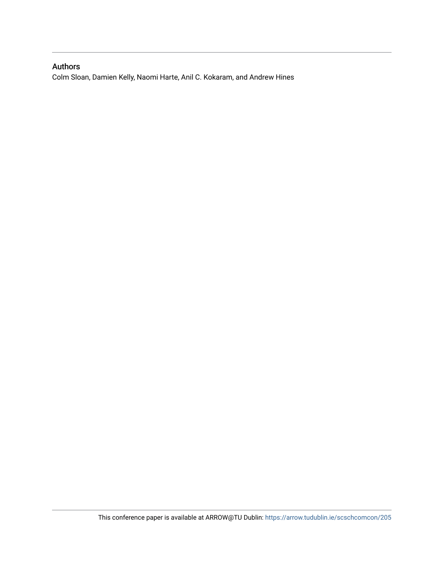## Authors

Colm Sloan, Damien Kelly, Naomi Harte, Anil C. Kokaram, and Andrew Hines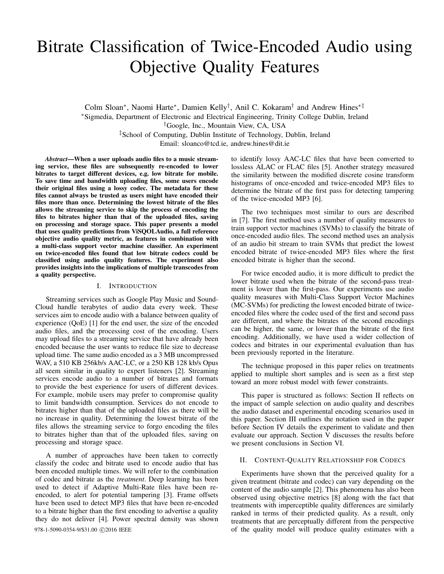# Bitrate Classification of Twice-Encoded Audio using Objective Quality Features

Colm Sloan<sup>∗</sup> , Naomi Harte<sup>∗</sup> , Damien Kelly† , Anil C. Kokaram† and Andrew Hines∗‡ <sup>∗</sup>Sigmedia, Department of Electronic and Electrical Engineering, Trinity College Dublin, Ireland †Google, Inc., Mountain View, CA, USA ‡School of Computing, Dublin Institute of Technology, Dublin, Ireland Email: sloanco@tcd.ie, andrew.hines@dit.ie

*Abstract*—When a user uploads audio files to a music streaming service, these files are subsequently re-encoded to lower bitrates to target different devices, e.g. low bitrate for mobile. To save time and bandwidth uploading files, some users encode their original files using a lossy codec. The metadata for these files cannot always be trusted as users might have encoded their files more than once. Determining the lowest bitrate of the files allows the streaming service to skip the process of encoding the files to bitrates higher than that of the uploaded files, saving on processing and storage space. This paper presents a model that uses quality predictions from ViSQOLAudio, a full reference objective audio quality metric, as features in combination with a multi-class support vector machine classifier. An experiment on twice-encoded files found that low bitrate codecs could be classified using audio quality features. The experiment also provides insights into the implications of multiple transcodes from a quality perspective.

#### I. INTRODUCTION

Streaming services such as Google Play Music and Sound-Cloud handle terabytes of audio data every week. These services aim to encode audio with a balance between quality of experience (QoE) [1] for the end user, the size of the encoded audio files, and the processing cost of the encoding. Users may upload files to a streaming service that have already been encoded because the user wants to reduce file size to decrease upload time. The same audio encoded as a 3 MB uncompressed WAV, a 510 KB 256kb/s AAC-LC, or a 250 KB 128 kb/s Opus all seem similar in quality to expert listeners [2]. Streaming services encode audio to a number of bitrates and formats to provide the best experience for users of different devices. For example, mobile users may prefer to compromise quality to limit bandwidth consumption. Services do not encode to bitrates higher than that of the uploaded files as there will be no increase in quality. Determining the lowest bitrate of the files allows the streaming service to forgo encoding the files to bitrates higher than that of the uploaded files, saving on processing and storage space.

A number of approaches have been taken to correctly classify the codec and bitrate used to encode audio that has been encoded multiple times. We will refer to the combination of codec and bitrate as the *treatment*. Deep learning has been used to detect if Adaptive Multi-Rate files have been reencoded, to alert for potential tampering [3]. Frame offsets have been used to detect MP3 files that have been re-encoded to a bitrate higher than the first encoding to advertise a quality they do not deliver [4]. Power spectral density was shown to identify lossy AAC-LC files that have been converted to lossless ALAC or FLAC files [5]. Another strategy measured the similarity between the modified discrete cosine transform histograms of once-encoded and twice-encoded MP3 files to determine the bitrate of the first pass for detecting tampering of the twice-encoded MP3 [6].

The two techniques most similar to ours are described in [7]. The first method uses a number of quality measures to train support vector machines (SVMs) to classify the bitrate of once-encoded audio files. The second method uses an analysis of an audio bit stream to train SVMs that predict the lowest encoded bitrate of twice-encoded MP3 files where the first encoded bitrate is higher than the second.

For twice encoded audio, it is more difficult to predict the lower bitrate used when the bitrate of the second-pass treatment is lower than the first-pass. Our experiments use audio quality measures with Multi-Class Support Vector Machines (MC-SVMs) for predicting the lowest encoded bitrate of twiceencoded files where the codec used of the first and second pass are different, and where the bitrates of the second encodings can be higher, the same, or lower than the bitrate of the first encoding. Additionally, we have used a wider collection of codecs and bitrates in our experimental evaluation than has been previously reported in the literature.

The technique proposed in this paper relies on treatments applied to multiple short samples and is seen as a first step toward an more robust model with fewer constraints.

This paper is structured as follows: Section II reflects on the impact of sample selection on audio quality and describes the audio dataset and experimental encoding scenarios used in this paper. Section III outlines the notation used in the paper before Section IV details the experiment to validate and then evaluate our approach. Section V discusses the results before we present conclusions in Section VI.

#### II. CONTENT-QUALITY RELATIONSHIP FOR CODECS

Experiments have shown that the perceived quality for a given treatment (bitrate and codec) can vary depending on the content of the audio sample [2]. This phenomena has also been observed using objective metrics [8] along with the fact that treatments with imperceptible quality differences are similarly ranked in terms of their predicted quality. As a result, only treatments that are perceptually different from the perspective 978-1-5090-0354-9/\$31.00  $\odot$ 2016 IEEE of the quality model will produce quality estimates with a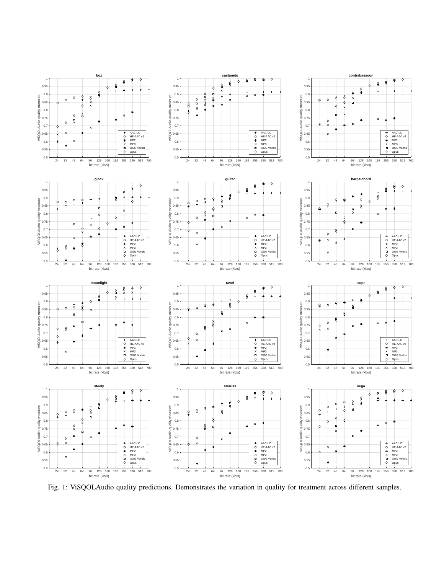

Fig. 1: ViSQOLAudio quality predictions. Demonstrates the variation in quality for treatment across different samples.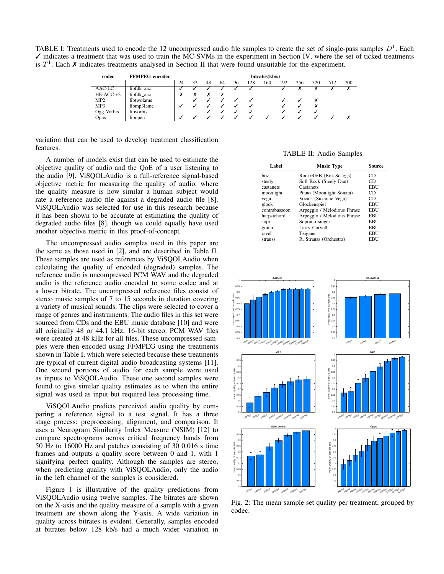TABLE I: Treatments used to encode the 12 uncompressed audio file samples to create the set of single-pass samples  $D<sup>1</sup>$ . Each  $\checkmark$  indicates a treatment that was used to train the MC-SVMs in the experiment in Section IV, where the set of ticked treatments is  $T<sup>1</sup>$ . Each  $\chi$  indicates treatments analysed in Section II that were found unsuitable for the experiment.

| codec           | <b>FFMPEG</b> encoder | bitrates(kb/s) |    |    |     |    |     |     |     |     |     |     |     |
|-----------------|-----------------------|----------------|----|----|-----|----|-----|-----|-----|-----|-----|-----|-----|
|                 |                       | 24             | 32 | 48 | -64 | 96 | .28 | 160 | 192 | 256 | 320 | 512 | 700 |
| AAC-LC          | libfdk_aac            |                |    |    |     |    |     |     |     |     |     |     |     |
| HE-ACC-v2       | libfdk aac            |                |    |    |     |    |     |     |     |     |     |     |     |
| MP <sub>2</sub> | libtwolame            |                |    |    |     |    |     |     |     |     |     |     |     |
| MP3             | libmp3lame            |                |    |    |     |    |     |     |     |     |     |     |     |
| Ogg Vorbis      | libvorbis             |                |    |    |     |    |     |     |     |     |     |     |     |
| Opus            | libopen               |                |    |    |     |    |     |     |     |     |     |     |     |

variation that can be used to develop treatment classification features.

A number of models exist that can be used to estimate the objective quality of audio and the QoE of a user listening to the audio [9]. ViSQOLAudio is a full-reference signal-based objective metric for measuring the quality of audio, where the quality measure is how similar a human subject would rate a reference audio file against a degraded audio file [8]. ViSQOLAudio was selected for use in this research because it has been shown to be accurate at estimating the quality of degraded audio files [8], though we could equally have used another objective metric in this proof-of-concept.

The uncompressed audio samples used in this paper are the same as those used in [2], and are described in Table II. These samples are used as references by ViSQOLAudio when calculating the quality of encoded (degraded) samples. The reference audio is uncompressed PCM WAV and the degraded audio is the reference audio encoded to some codec and at a lower bitrate. The uncompressed reference files consist of stereo music samples of 7 to 15 seconds in duration covering a variety of musical sounds. The clips were selected to cover a range of genres and instruments. The audio files in this set were sourced from CDs and the EBU music database [10] and were all originally 48 or 44.1 kHz, 16-bit stereo. PCM WAV files were created at 48 kHz for all files. These uncompressed samples were then encoded using FFMPEG using the treatments shown in Table I, which were selected because these treatments are typical of current digital audio broadcasting systems [11]. One second portions of audio for each sample were used as inputs to ViSQOLAudio. These one second samples were found to give similar quality estimates as to when the entire signal was used as input but required less processing time.

ViSQOLAudio predicts perceived audio quality by comparing a reference signal to a test signal. It has a three stage process: preprocessing, alignment, and comparison. It uses a Neurogram Similarity Index Measure (NSIM) [12] to compare spectrograms across critical frequency bands from 50 Hz to 16000 Hz and patches consisting of 30 0.016 s time frames and outputs a quality score between 0 and 1, with 1 signifying perfect quality. Although the samples are stereo, when predicting quality with ViSQOLAudio, only the audio in the left channel of the samples is considered.

Figure 1 is illustrative of the quality predictions from ViSQOLAudio using twelve samples. The bitrates are shown on the X-axis and the quality measure of a sample with a given treatment are shown along the Y-axis. A wide variation in quality across bitrates is evident. Generally, samples encoded at bitrates below 128 kb/s had a much wider variation in

TABLE II: Audio Samples

| Label         | <b>Music Type</b>           | Source     |
|---------------|-----------------------------|------------|
| boz.          | Rock/R&B (Boz Scaggs)       | CD         |
| steely        | Soft Rock (Steely Dan)      | CD         |
| castanets     | Castanets                   | EBU        |
| moonlight     | Piano (Moonlight Sonata)    | CD         |
| vega          | Vocals (Suzanne Vega)       | CD         |
| glock         | Glockenspiel                | <b>EBU</b> |
| contrabassoon | Arpeggio / Melodious Phrase | EBU        |
| harpsichord   | Arpeggio / Melodious Phrase | EBU        |
| sopr          | Soprano singer              | <b>EBU</b> |
| guitar        | Larry Coryell               | <b>EBU</b> |
| ravel         | Tzigane                     | <b>EBU</b> |
| strauss       | R. Strauss (Orchestra)      | <b>EBU</b> |



Fig. 2: The mean sample set quality per treatment, grouped by codec.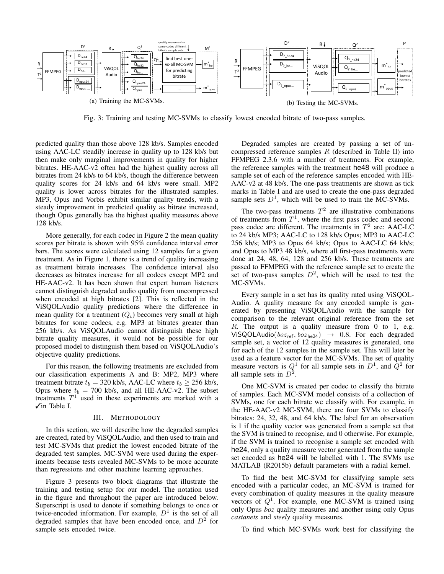

Fig. 3: Training and testing MC-SVMs to classify lowest encoded bitrate of two-pass samples.

predicted quality than those above 128 kb/s. Samples encoded using AAC-LC steadily increase in quality up to 128 kb/s but then make only marginal improvements in quality for higher bitrates. HE-AAC-v2 often had the highest quality across all bitrates from 24 kb/s to 64 kb/s, though the difference between quality scores for 24 kb/s and 64 kb/s were small. MP2 quality is lower across bitrates for the illustrated samples. MP3, Opus and Vorbis exhibit similar quality trends, with a steady improvement in predicted quality as bitrate increased, though Opus generally has the highest quality measures above 128 kb/s.

More generally, for each codec in Figure 2 the mean quality scores per bitrate is shown with 95% confidence interval error bars. The scores were calculated using 12 samples for a given treatment. As in Figure 1, there is a trend of quality increasing as treatment bitrate increases. The confidence interval also decreases as bitrates increase for all codecs except MP2 and HE-AAC-v2. It has been shown that expert human listeners cannot distinguish degraded audio quality from uncompressed when encoded at high bitrates [2]. This is reflected in the ViSQOLAudio quality predictions where the difference in mean quality for a treatment  $(Q_t)$  becomes very small at high bitrates for some codecs, e.g. MP3 at bitrates greater than 256 kb/s. As ViSQOLAudio cannot distinguish these high bitrate quality measures, it would not be possible for our proposed model to distinguish them based on ViSQOLAudio's objective quality predictions.

For this reason, the following treatments are excluded from our classification experiments A and B: MP2, MP3 where treatment bitrate  $t_b = 320$  kb/s, AAC-LC where  $t_b \ge 256$  kb/s, Opus where  $t_b = 700$  kb/s, and all HE-AAC-v2. The subset treatments  $T<sup>1</sup>$  used in these experiments are marked with a ✓in Table I.

#### III. METHODOLOGY

In this section, we will describe how the degraded samples are created, rated by ViSQOLAudio, and then used to train and test MC-SVMs that predict the lowest encoded bitrate of the degraded test samples. MC-SVM were used during the experiments because tests revealed MC-SVMs to be more accurate than regressions and other machine learning approaches.

Figure 3 presents two block diagrams that illustrate the training and testing setup for our model. The notation used in the figure and throughout the paper are introduced below. Superscript is used to denote if something belongs to once or twice-encoded information. For example,  $D<sup>1</sup>$  is the set of all degraded samples that have been encoded once, and  $D^2$  for sample sets encoded twice.

Degraded samples are created by passing a set of uncompressed reference samples  $R$  (described in Table II) into FFMPEG 2.3.6 with a number of treatments. For example, the reference samples with the treatment he48 will produce a sample set of each of the reference samples encoded with HE-AAC-v2 at 48 kb/s. The one-pass treatments are shown as tick marks in Table I and are used to create the one-pass degraded sample sets  $D<sup>1</sup>$ , which will be used to train the MC-SVMs.

The two-pass treatments  $T^2$  are illustrative combinations of treatments from  $T<sup>1</sup>$ , where the first pass codec and second pass codec are different. The treatments in  $T^2$  are: AAC-LC to 24 kb/s MP3; AAC-LC to 128 kb/s Opus; MP3 to AAC-LC 256 kb/s; MP3 to Opus 64 kb/s; Opus to AAC-LC 64 kb/s; and Opus to MP3 48 kb/s, where all first-pass treatments were done at 24, 48, 64, 128 and 256 kb/s. These treatments are passed to FFMPEG with the reference sample set to create the set of two-pass samples  $D^2$ , which will be used to test the MC-SVMs.

Every sample in a set has its quality rated using ViSQOL-Audio. A quality measure for any encoded sample is generated by presenting ViSQOLAudio with the sample for comparison to the relevant original reference from the set  $R$ . The output is a quality measure from 0 to 1, e.g. ViSQOLAudio( $box_{ref}$ ,  $box_{he24}$ )  $\rightarrow$  0.8. For each degraded sample set, a vector of 12 quality measures is generated, one for each of the 12 samples in the sample set. This will later be used as a feature vector for the MC-SVMs. The set of quality measure vectors is  $Q^1$  for all sample sets in  $D^1$ , and  $\overline{Q}^2$  for all sample sets in  $D^2$ .

One MC-SVM is created per codec to classify the bitrate of samples. Each MC-SVM model consists of a collection of SVMs, one for each bitrate we classify with. For example, in the HE-AAC-v2 MC-SVM, there are four SVMs to classify bitrates: 24, 32, 48, and 64 kb/s. The label for an observation is 1 if the quality vector was generated from a sample set that the SVM is trained to recognise, and 0 otherwise. For example, if the SVM is trained to recognise a sample set encoded with he<sub>24</sub>, only a quality measure vector generated from the sample set encoded as he24 will be labelled with 1. The SVMs use MATLAB (R2015b) default parameters with a radial kernel.

To find the best MC-SVM for classifying sample sets encoded with a particular codec, an MC-SVM is trained for every combination of quality measures in the quality measure vectors of  $Q<sup>1</sup>$ . For example, one MC-SVM is trained using only Opus *boz* quality measures and another using only Opus *castanets* and *steely* quality measures.

To find which MC-SVMs work best for classifying the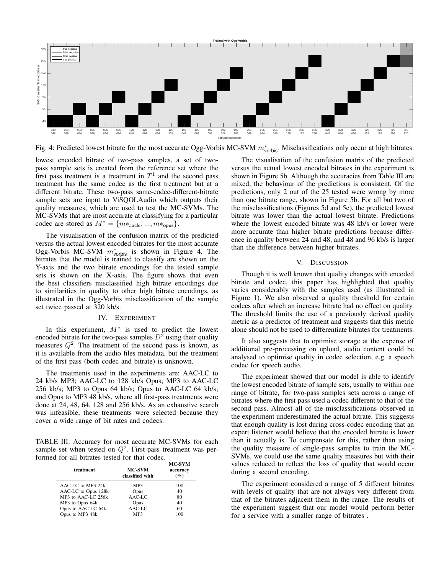

Fig. 4: Predicted lowest bitrate for the most accurate Ogg-Vorbis MC-SVM  $m^*_{\text{vorbis}}$ . Misclassifications only occur at high bitrates.

lowest encoded bitrate of two-pass samples, a set of twopass sample sets is created from the reference set where the first pass treatment is a treatment in  $T<sup>1</sup>$  and the second pass treatment has the same codec as the first treatment but at a different bitrate. These two-pass same-codec-different-bitrate sample sets are input to ViSQOLAudio which outputs their quality measures, which are used to test the MC-SVMs. The MC-SVMs that are most accurate at classifying for a particular codec are stored as  $M^* = \{m*_{\text{aaclc}}, ..., m*_{\text{opus}}\}.$ 

The visualisation of the confusion matrix of the predicted versus the actual lowest encoded bitrates for the most accurate Ogg-Vorbis MC-SVM  $m^*_{\text{vorbis}}$  is shown in Figure 4. The bitrates that the model is trained to classify are shown on the Y-axis and the two bitrate encodings for the tested sample sets is shown on the X-axis. The figure shows that even the best classifiers misclassified high bitrate encodings due to similarities in quality to other high bitrate encodings, as illustrated in the Ogg-Vorbis misclassification of the sample set twice passed at 320 kb/s.

#### IV. EXPERIMENT

In this experiment,  $M^*$  is used to predict the lowest encoded bitrate for the two-pass samples  $D<sup>2</sup>$  using their quality measures  $Q^2$ . The treatment of the second pass is known, as it is available from the audio files metadata, but the treatment of the first pass (both codec and bitrate) is unknown.

The treatments used in the experiments are: AAC-LC to 24 kb/s MP3; AAC-LC to 128 kb/s Opus; MP3 to AAC-LC 256 kb/s; MP3 to Opus 64 kb/s; Opus to AAC-LC 64 kb/s; and Opus to MP3 48 kb/s, where all first-pass treatments were done at 24, 48, 64, 128 and 256 kb/s. As an exhaustive search was infeasible, these treatments were selected because they cover a wide range of bit rates and codecs.

TABLE III: Accuracy for most accurate MC-SVMs for each sample set when tested on  $Q^2$ . First-pass treatment was performed for all bitrates tested for that codec.

| treatment               | <b>MC-SVM</b><br>classified with | <b>MC-SVM</b><br>accuracy<br>$($ %) |
|-------------------------|----------------------------------|-------------------------------------|
| $AAC$ -LC to MP3 24 $k$ | MP3                              | 100                                 |
| AAC-LC to Opus 128k     | Opus                             | 40                                  |
| MP3 to AAC-LC 256k      | $AAC-LC$                         | 80                                  |
| MP3 to Opus 64k         | Opus                             | 40                                  |
| Opus to AAC-LC 64k      | $AAC-LC$                         | 60                                  |
| Opus to MP3 48k         | MP3                              | 100                                 |

The visualisation of the confusion matrix of the predicted versus the actual lowest encoded bitrates in the experiment is shown in Figure 5b. Although the accuracies from Table III are mixed, the behaviour of the predictions is consistent. Of the predictions, only 2 out of the 25 tested were wrong by more than one bitrate range, shown in Figure 5b. For all but two of the misclassifications (Figures 5d and 5e), the predicted lowest bitrate was lower than the actual lowest bitrate. Predictions where the lowest encoded bitrate was 48 kb/s or lower were more accurate than higher bitrate predictions because difference in quality between 24 and 48, and 48 and 96 kb/s is larger than the difference between higher bitrates.

#### V. DISCUSSION

Though it is well known that quality changes with encoded bitrate and codec, this paper has highlighted that quality varies considerably with the samples used (as illustrated in Figure 1). We also observed a quality threshold for certain codecs after which an increase bitrate had no effect on quality. The threshold limits the use of a previously derived quality metric as a predictor of treatment and suggests that this metric alone should not be used to differentiate bitrates for treatments.

It also suggests that to optimise storage at the expense of additional pre-processing on upload, audio content could be analysed to optimise quality in codec selection, e.g. a speech codec for speech audio.

The experiment showed that our model is able to identify the lowest encoded bitrate of sample sets, usually to within one range of bitrate, for two-pass samples sets across a range of bitrates where the first pass used a codec different to that of the second pass. Almost all of the misclassifications observed in the experiment underestimated the actual bitrate. This suggests that enough quality is lost during cross-codec encoding that an expert listener would believe that the encoded bitrate is lower than it actually is. To compensate for this, rather than using the quality measure of single-pass samples to train the MC-SVMs, we could use the same quality measures but with their values reduced to reflect the loss of quality that would occur during a second encoding.

The experiment considered a range of 5 different bitrates with levels of quality that are not always very different from that of the bitrates adjacent them in the range. The results of the experiment suggest that our model would perform better for a service with a smaller range of bitrates .